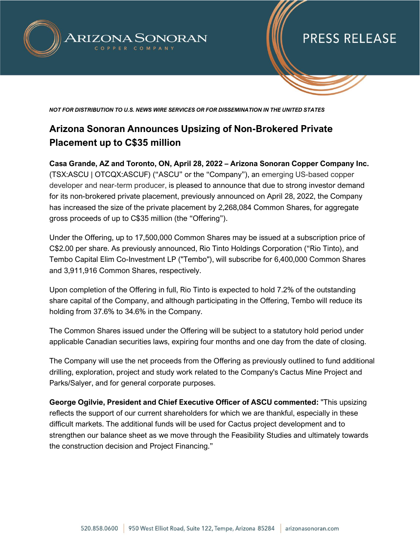

# **PRESS RELEASE**

*NOT FOR DISTRIBUTION TO U.S. NEWS WIRE SERVICES OR FOR DISSEMINATION IN THE UNITED STATES*

### **Arizona Sonoran Announces Upsizing of Non-Brokered Private Placement up to C\$35 million**

**Casa Grande, AZ and Toronto, ON, April 28, 2022 – Arizona Sonoran Copper Company Inc.** (TSX:ASCU | OTCQX:ASCUF) ("ASCU" or the "Company"), an emerging US-based copper developer and near-term producer, is pleased to announce that due to strong investor demand for its non-brokered private placement, previously announced on April 28, 2022, the Company has increased the size of the private placement by 2,268,084 Common Shares, for aggregate gross proceeds of up to C\$35 million (the "Offering").

Under the Offering, up to 17,500,000 Common Shares may be issued at a subscription price of C\$2.00 per share. As previously announced, Rio Tinto Holdings Corporation ("Rio Tinto), and Tembo Capital Elim Co-Investment LP ("Tembo"), will subscribe for 6,400,000 Common Shares and 3,911,916 Common Shares, respectively.

Upon completion of the Offering in full, Rio Tinto is expected to hold 7.2% of the outstanding share capital of the Company, and although participating in the Offering, Tembo will reduce its holding from 37.6% to 34.6% in the Company.

The Common Shares issued under the Offering will be subject to a statutory hold period under applicable Canadian securities laws, expiring four months and one day from the date of closing.

The Company will use the net proceeds from the Offering as previously outlined to fund additional drilling, exploration, project and study work related to the Company's Cactus Mine Project and Parks/Salyer, and for general corporate purposes.

**George Ogilvie, President and Chief Executive Officer of ASCU commented:** "This upsizing reflects the support of our current shareholders for which we are thankful, especially in these difficult markets. The additional funds will be used for Cactus project development and to strengthen our balance sheet as we move through the Feasibility Studies and ultimately towards the construction decision and Project Financing."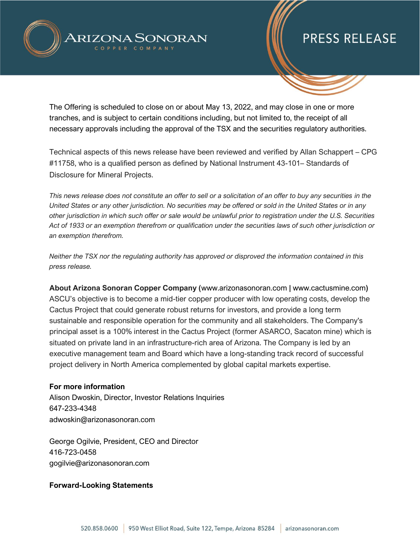

# **PRESS RELEASE**

The Offering is scheduled to close on or about May 13, 2022, and may close in one or more tranches, and is subject to certain conditions including, but not limited to, the receipt of all necessary approvals including the approval of the TSX and the securities regulatory authorities.

Technical aspects of this news release have been reviewed and verified by Allan Schappert – CPG #11758, who is a qualified person as defined by National Instrument 43-101– Standards of Disclosure for Mineral Projects.

*This news release does not constitute an offer to sell or a solicitation of an offer to buy any securities in the United States or any other jurisdiction. No securities may be offered or sold in the United States or in any other jurisdiction in which such offer or sale would be unlawful prior to registration under the U.S. Securities Act of 1933 or an exemption therefrom or qualification under the securities laws of such other jurisdiction or an exemption therefrom.*

*Neither the TSX nor the regulating authority has approved or disproved the information contained in this press release.* 

**About Arizona Sonoran Copper Company (**www.arizonasonoran.com **|** www.cactusmine.com**)** ASCU's objective is to become a mid-tier copper producer with low operating costs, develop the Cactus Project that could generate robust returns for investors, and provide a long term sustainable and responsible operation for the community and all stakeholders. The Company's principal asset is a 100% interest in the Cactus Project (former ASARCO, Sacaton mine) which is situated on private land in an infrastructure-rich area of Arizona. The Company is led by an executive management team and Board which have a long-standing track record of successful project delivery in North America complemented by global capital markets expertise.

#### **For more information**

Alison Dwoskin, Director, Investor Relations Inquiries 647-233-4348 adwoskin@arizonasonoran.com

George Ogilvie, President, CEO and Director 416-723-0458 gogilvie@arizonasonoran.com

### **Forward-Looking Statements**